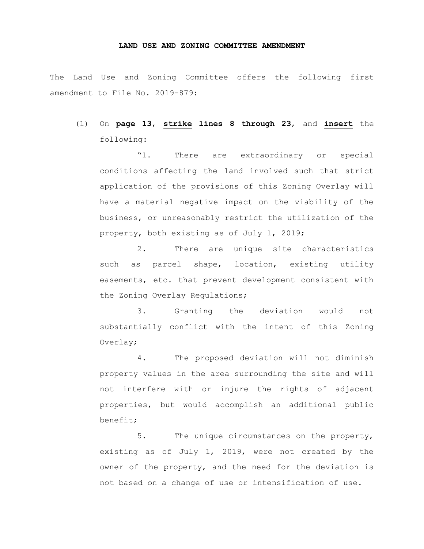## **LAND USE AND ZONING COMMITTEE AMENDMENT**

The Land Use and Zoning Committee offers the following first amendment to File No. 2019-879:

(1) On **page 13**, **strike lines 8 through 23**, and **insert** the following:

"1. There are extraordinary or special conditions affecting the land involved such that strict application of the provisions of this Zoning Overlay will have a material negative impact on the viability of the business, or unreasonably restrict the utilization of the property, both existing as of July 1, 2019;

2. There are unique site characteristics such as parcel shape, location, existing utility easements, etc. that prevent development consistent with the Zoning Overlay Regulations;

3. Granting the deviation would not substantially conflict with the intent of this Zoning Overlay;

4. The proposed deviation will not diminish property values in the area surrounding the site and will not interfere with or injure the rights of adjacent properties, but would accomplish an additional public benefit;

5. The unique circumstances on the property, existing as of July 1, 2019, were not created by the owner of the property, and the need for the deviation is not based on a change of use or intensification of use.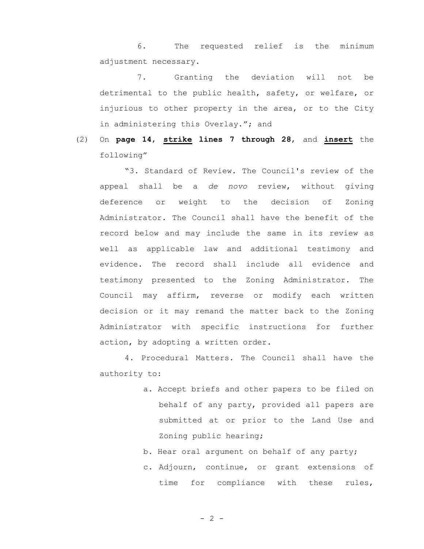6. The requested relief is the minimum adjustment necessary.

7. Granting the deviation will not be detrimental to the public health, safety, or welfare, or injurious to other property in the area, or to the City in administering this Overlay."; and

(2) On **page 14**, **strike lines 7 through 28**, and **insert** the following"

"3. Standard of Review. The Council's review of the appeal shall be a *de novo* review, without giving deference or weight to the decision of Zoning Administrator. The Council shall have the benefit of the record below and may include the same in its review as well as applicable law and additional testimony and evidence. The record shall include all evidence and testimony presented to the Zoning Administrator. The Council may affirm, reverse or modify each written decision or it may remand the matter back to the Zoning Administrator with specific instructions for further action, by adopting a written order.

4. Procedural Matters. The Council shall have the authority to:

- a. Accept briefs and other papers to be filed on behalf of any party, provided all papers are submitted at or prior to the Land Use and Zoning public hearing;
- b. Hear oral argument on behalf of any party;
- c. Adjourn, continue, or grant extensions of time for compliance with these rules,

 $- 2 -$